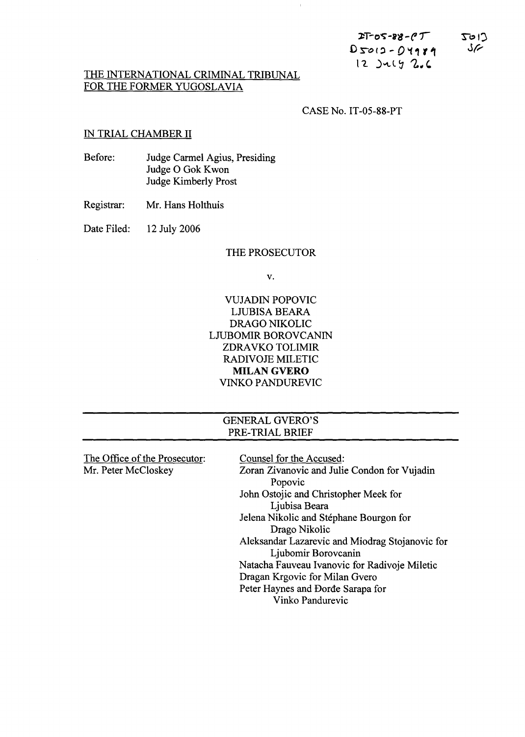| $2T-05-88-0T$    | $C1$ or $Z$   |
|------------------|---------------|
| $D$ 5012 - 04181 | $\mathcal{S}$ |
| $12$ )uly $2.6$  |               |

## THE INTERNATIONAL CRIMINAL TRIBUNAL FOR THE FORMER YUGOSLAVIA

CASE No. IT-05-88-PT

- 11

## IN TRIAL CHAMBER II

| Before: | Judge Carmel Agius, Presiding |
|---------|-------------------------------|
|         | Judge O Gok Kwon              |
|         | Judge Kimberly Prost          |

Registrar: Mr. Hans Holthuis

Date Filed: 12 July 2006

## THE PROSECUTOR

v.

VUJADIN POPOVIC LJUBISA BEARA DRAGO NIKOLIC LJUBOMIR BOROVCANIN ZDRAVKO TOLIMIR RADIVOJE MILETIC MILAN GVERO VINKO PANDUREVIC

|                               | <b>GENERAL GVERO'S</b>                          |
|-------------------------------|-------------------------------------------------|
|                               | PRE-TRIAL BRIEF                                 |
|                               |                                                 |
| The Office of the Prosecutor: | Counsel for the Accused:                        |
| Mr. Peter McCloskey           | Zoran Zivanovic and Julie Condon for Vujadin    |
|                               | Popovic                                         |
|                               | John Ostojic and Christopher Meek for           |
|                               | Ljubisa Beara                                   |
|                               | Jelena Nikolic and Stéphane Bourgon for         |
|                               | Drago Nikolic                                   |
|                               | Aleksandar Lazarevic and Miodrag Stojanovic for |
|                               | Ljubomir Borovcanin                             |
|                               | Natacha Fauveau Ivanovic for Radivoje Miletic   |
|                               | Dragan Krgovic for Milan Gvero                  |
|                               | Peter Haynes and Dorde Sarapa for               |
|                               | Vinko Pandurevic                                |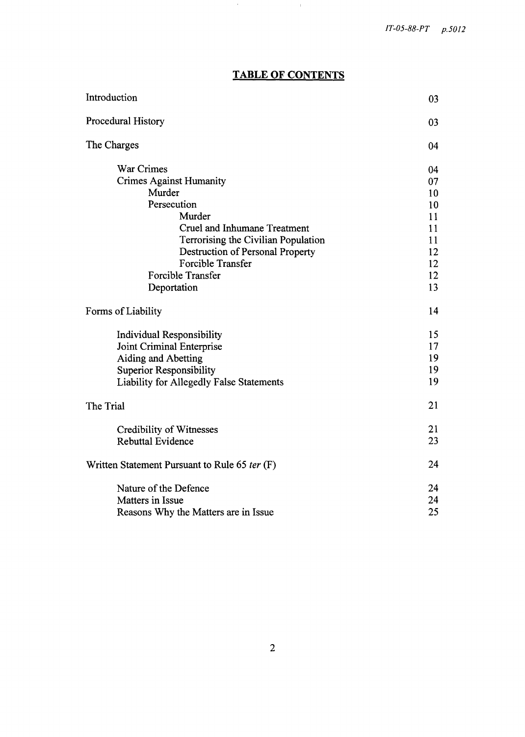# **TABLE OF CONTENTS**

and the

| Introduction                                                                                                                                                                                                                                                      | 03                                                             |
|-------------------------------------------------------------------------------------------------------------------------------------------------------------------------------------------------------------------------------------------------------------------|----------------------------------------------------------------|
| Procedural History                                                                                                                                                                                                                                                | 03                                                             |
| The Charges                                                                                                                                                                                                                                                       | 04                                                             |
| War Crimes<br><b>Crimes Against Humanity</b><br>Murder<br>Persecution<br>Murder<br><b>Cruel and Inhumane Treatment</b><br>Terrorising the Civilian Population<br>Destruction of Personal Property<br><b>Forcible Transfer</b><br>Forcible Transfer<br>Deportation | 04<br>07<br>10<br>10<br>11<br>11<br>11<br>12<br>12<br>12<br>13 |
| Forms of Liability                                                                                                                                                                                                                                                | 14                                                             |
| Individual Responsibility<br>Joint Criminal Enterprise<br><b>Aiding and Abetting</b><br><b>Superior Responsibility</b><br>Liability for Allegedly False Statements                                                                                                | 15<br>17<br>19<br>19<br>19                                     |
| The Trial                                                                                                                                                                                                                                                         | 21                                                             |
| Credibility of Witnesses<br><b>Rebuttal Evidence</b>                                                                                                                                                                                                              | 21<br>23                                                       |
| Written Statement Pursuant to Rule 65 ter (F)                                                                                                                                                                                                                     | 24                                                             |
| Nature of the Defence<br>Matters in Issue<br>Reasons Why the Matters are in Issue                                                                                                                                                                                 | 24<br>24<br>25                                                 |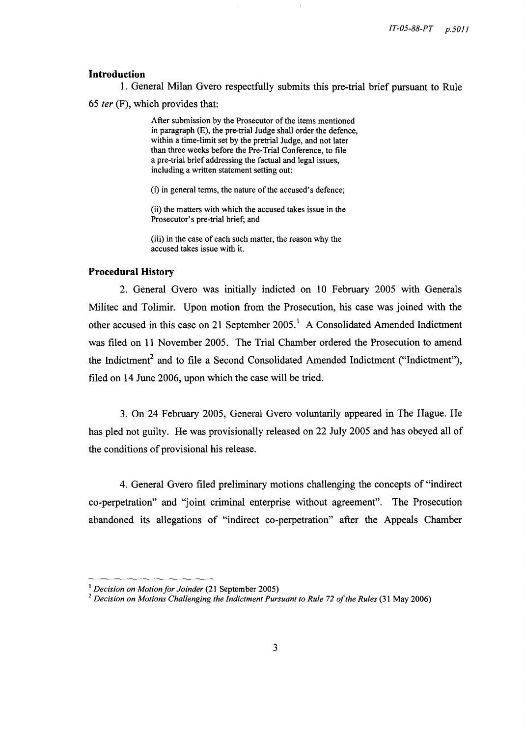## **Introduction**

1. General Milan Gvero respectfully submits this pre-trial brief pursuant to Rule *65* fer (F), which provides that:

> After submission by the Prosecutor of the items mentioned in paragraph (E), the pre-trial Judge shall order the defence, within a time-limit set by the pretrial Judge, and not later than three weeks before the Pre-Trial Conference, to file a pre-trial brief addressing the factual and legal issues, including a written statement setting out:

(i) in general terms, the nature of the accused's defence;

(ii) the matters with which the accused takes issue in the Prosecutor's pre-trial brief; and

(iii) in the case of each such matter, the reason why the accused takes issue with it.

## **Procedural** History

2. General Gvero was initially indicted on 10 February 2005 with Generals Militec and Tolimir. Upon motion from the Prosecution, his case was joined with the other accused in this case on 21 September 2005.<sup>1</sup> A Consolidated Amended Indictment was filed on 11 November 2005. The Trial Chamber ordered the Prosecution to amend the Indictment<sup>2</sup> and to file a Second Consolidated Amended Indictment ("Indictment"), filed on 14 June 2006, upon which the case will be tried.

3. On 24 February 2005, General Gvero voluntarily appeared in The Hague. He has pled not guilty. He was provisionally released on 22 July 2005 and has obeyed all of the conditions of provisional his release.

4. General Gvero filed preliminary motions challenging the concepts of "indirect co-perpetration" and "joint criminal enterprise without agreement". The Prosecution abandoned its allegations of "indirect co-perpetration" after the Appeals Chamber

<sup>&</sup>lt;sup>1</sup> Decision on Motion for Joinder (21 September 2005)

<sup>2</sup>*Decision on Motions Challenging the Indictment Pursuant to Rule* 72 *of the Rules* (31 May 2006)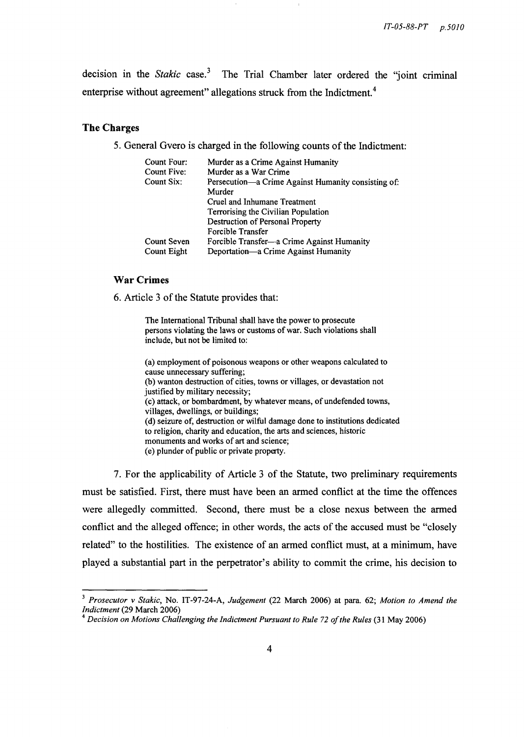decision in the *Stakic* case. 3 The Trial Chamber later ordered the "joint criminal enterprise without agreement" allegations struck from the Indictment.<sup>4</sup>

#### **The Charges**

5. General Gvero is charged in the following counts of the Indictment:

| Count Four:        | Murder as a Crime Against Humanity                  |
|--------------------|-----------------------------------------------------|
| Count Five:        | Murder as a War Crime                               |
| Count Six:         | Persecution—a Crime Against Humanity consisting of: |
|                    | Murder                                              |
|                    | Cruel and Inhumane Treatment                        |
|                    | Terrorising the Civilian Population                 |
|                    | Destruction of Personal Property                    |
|                    | Forcible Transfer                                   |
| <b>Count Seven</b> | Forcible Transfer—a Crime Against Humanity          |
| Count Eight        | Deportation—a Crime Against Humanity                |
|                    |                                                     |

## War Crimes

6. Article 3 of the Statute provides that:

The International Tribunal shall have the power to prosecute persons violating the laws or customs of war. Such violations shall include, but not be limited to:

(a) employment of poisonous weapons or other weapons calculated to cause unnecessary suffering; (b) wanton destruction of cities, towns or villages, or devastation not justified by military necessity; (c) attack, or bombardment, by whatever means, of undefended towns, villages, dwellings, or buildings; (d) seizure of, destruction or wilful damage done to institutions dedicated to religion, charity and education, the arts and sciences, historic monuments and works of art and science; (e) plunder of public or private property.

7. For the applicability of Article 3 of the Statute, two preliminary requirements must be satisfied. First, there must have been an armed conflict at the time the offences were allegedly committed. Second, there must be a close nexus between the armed conflict and the alleged offence; in other words, the acts of the accused must be "closely related" to the hostilities. The existence of an armed conflict must, at a minimum, have played a substantial part in the perpetrator's ability to commit the crime, his decision to

*<sup>3</sup> Prosecutor* v *Stakic,* No. IT-97-24-A, *Judgement* (22 March 2006) at para. 62; *Motion to Amend the Indictment* (29 March 2006)

<sup>&</sup>lt;sup>4</sup> Decision on Motions Challenging the Indictment Pursuant to Rule 72 of the Rules (31 May 2006)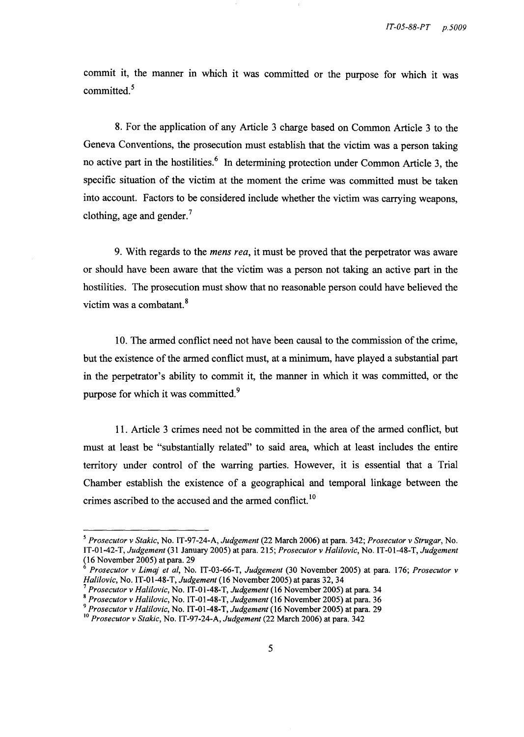commit it, the manner in which it was committed or the purpose for which it was committed. 5

8. For the application of any Article 3 charge based on Common Article 3 to the Geneva Conventions, the prosecution must establish that the victim was a person taking no active part in the hostilities.<sup>6</sup> In determining protection under Common Article 3, the specific situation of the victim at the moment the crime was committed must be taken into account. Factors to be considered include whether the victim was carrying weapons, clothing, age and gender.<sup>7</sup>

9. With regards to the *mens rea,* it must be proved that the perpetrator was aware or should have been aware that the victim was a person not taking an active part in the hostilities. The prosecution must show that no reasonable person could have believed the victim was a combatant. 8

10. The armed conflict need not have been causal to the commission of the crime, but the existence of the armed conflict must, at a minimum, have played a substantial part in the perpetrator's ability to commit it, the manner in which it was committed, or the purpose for which it was committed.<sup>9</sup>

11. Article 3 crimes need not be committed in the area of the armed conflict, but must at least be "substantially related" to said area, which at least includes the entire territory under control of the warring parties. However, it is essential that a Trial Chamber establish the existence of a geographical and temporal linkage between the crimes ascribed to the accused and the armed conflict.<sup>10</sup>

*<sup>5</sup> Prosecutor* v *Stakic,* No. IT-97-24-A, *Judgement* (22 March 2006) at para. 342; *Prosecutor* v *Strugar,* No. IT-01-42-T, *Judgement* (31 January 2005) at para. 215; *Prosecutor* v *Halilovic,* No. IT-01-48-T, *Judgement*  (16 November 2005) at para. 29

*<sup>6</sup> Prosecutor* v *Limaj et ai,* No. IT-03-66-T, *Judgement* (30 November 2005) at para. 176; *Prosecutor* v *Halilovic,* No. IT-01-48-T, *Judgement* (16 November 2005) at paras 32, 34

<sup>7</sup>*Prosecutor* v *Halilovic,* No. IT-01-48-T, *Judgement* (16 November 2005) at para. 34

<sup>8</sup>*Prosecutor* v *Halilovic,* No. IT-01-48-T, *Judgement* (16 November 2005) at para. 36

*<sup>9</sup> Prosecutor* v *Halilovic,* No. IT-01-48-T, *Judgement* (16 November 2005) at para. 29

<sup>&</sup>lt;sup>10</sup> Prosecutor v Stakic, No. IT-97-24-A, *Judgement* (22 March 2006) at para. 342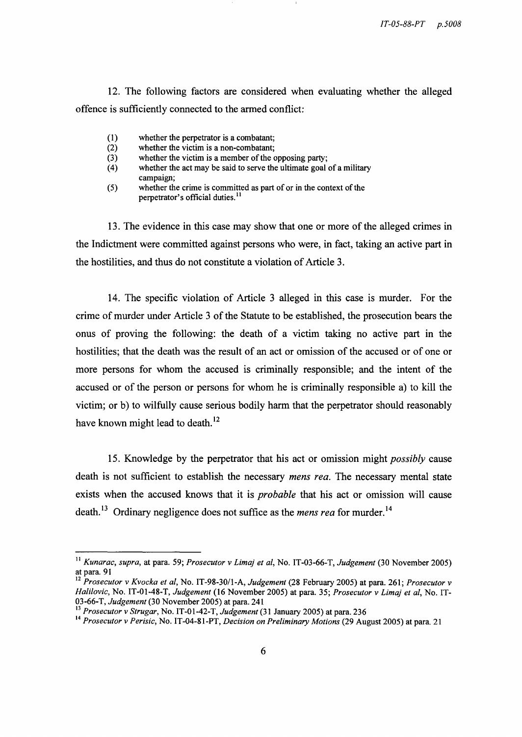12. The following factors are considered when evaluating whether the alleged offence is sufficiently connected to the armed conflict:

- (1) whether the perpetrator is a combatant;<br>(2) whether the victim is a non-combatant;
- (2) whether the victim is a non-combatant;<br>(3) whether the victim is a member of the c
- (3) whether the victim is a member of the opposing party;<br>(4) whether the act may be said to serve the ultimate goal
- whether the act may be said to serve the ultimate goal of a military campaign;
- $(5)$  whether the crime is committed as part of or in the context of the perpetrator's official duties.<sup>11</sup>

13. The evidence in this case may show that one or more of the alleged crimes in the Indictment were committed against persons who were, in fact, taking an active part in the hostilities, and thus do not constitute a violation of Article 3.

14. The specific violation of Article 3 alleged in this case is murder. For the crime of murder under Article 3 of the Statute to be established, the prosecution bears the onus of proving the following: the death of a victim taking no active part in the hostilities; that the death was the result of an act or omission of the accused or of one or more persons for whom the accused is criminally responsible; and the intent of the accused or of the person or persons for whom he is criminally responsible a) to kill the victim; or b) to wilfully cause serious bodily harm that the perpetrator should reasonably have known might lead to death.<sup>12</sup>

15. Knowledge by the perpetrator that his act or omission might *possibly* cause death is not sufficient to establish the necessary *mens rea.* The necessary mental state exists when the accused knows that it is *probable* that his act or omission will cause death. 13 Ordinary negligence does not suffice as the *mens rea* for murder. 14

<sup>11</sup>*Kunarac, supra,* at para. 59; *Prosecutor* v *Limaj et aI,* No. IT-03-66-T, *Judgement* (30 November 2005) at para. 91

<sup>&</sup>lt;sup>12</sup> Prosecutor v *Kvocka et al*, No. IT-98-30/1-A, *Judgement* (28 February 2005) at para. 261; *Prosecutor v Halilovic,* No. IT-01-48-T, *Judgement* (16 November 2005) at para. 35; *Prosecutor* v *Limaj et aI,* No. IT-03-66-T, *Judgement* (30 November 2005) at para. 241

*<sup>13</sup> Prosecutor* v *Strugar,* No. IT -01-42-T, *Judgement* (31 January 2005) at para. 236

<sup>14</sup>*Prosecutor* v *Perisic,* No. IT -04-81-PT, *Decision on Preliminary Motions* (29 August 2005) at para. 21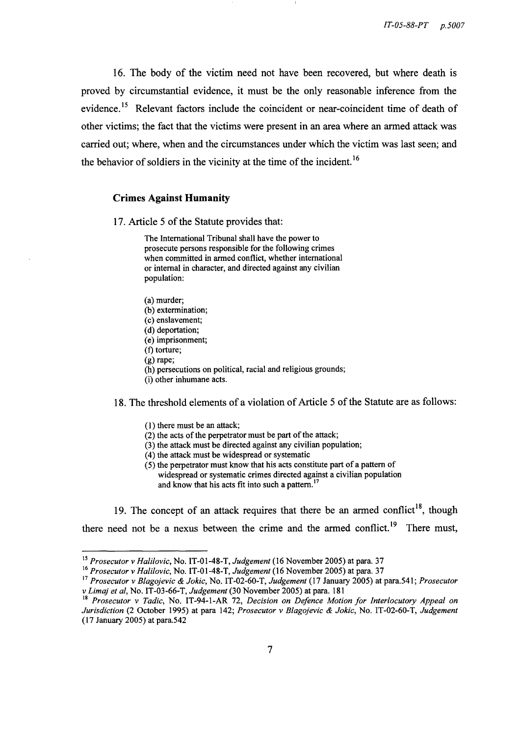16. The body of the victim need not have been recovered, but where death is proved by circumstantial evidence, it must be the only reasonable inference from the evidence.<sup>15</sup> Relevant factors include the coincident or near-coincident time of death of other victims; the fact that the victims were present in an area where an armed attack was carried out; where, when and the circumstances under which the victim was last seen; and the behavior of soldiers in the vicinity at the time of the incident.<sup>16</sup>

#### **Crimes Against Humanity**

17. Article 5 of the Statute provides that:

The International Tribunal shall have the power to prosecute persons responsible for the following crimes when committed in armed conflict, whether international or internal in character, and directed against any civilian population:

(a) murder; (b) extermination; (c) enslavement; (d) deportation; (e) imprisonment; (f) torture; (g) rape; (h) persecutions on political, racial and religious grounds; (i) other inhumane acts.

18. The threshold elements of a violation of Article 5 of the Statute are as follows:

- (I) there must be an attack;
- (2) the acts of the perpetrator must be part of the attack;
- $(3)$  the attack must be directed against any civilian population;
- (4) the attack must be widespread or systematic
- (5) the perpetrator must know that his acts constitute part of a pattern of widespread or systematic crimes directed against a civilian population and know that his acts fit into such a pattern.<sup>17</sup>

19. The concept of an attack requires that there be an armed conflict<sup>18</sup>, though there need not be a nexus between the crime and the armed conflict.<sup>19</sup> There must,

<sup>15</sup>*Prosecutor* v *Halilovic,* No. IT-01-4S-T, *Judgement* (16 November 2005) at para. 37

<sup>16</sup>*Prosecutor* v *Halilovic,* No. IT-01-4S-T, *Judgement* (16 November 2005) at para. 37

<sup>17</sup>*Prosecutor* v *Blagojevic* & *Jokic,* No. IT -02-60-T, *Judgement* (17 January 2005) at para. 54 I ; *Prosecutor*  v *Lima} et ai,* No. IT -03-66-T, *Judgement* (30 November 2005) at para. IS I

<sup>18</sup>*Prosecutor* v *Tadic,* No. IT-94-I-AR 72, *Decision on Defence Motion for Interlocutory Appeal on Jurisdiction* (2 October 1995) at para 142; *Prosecutor* v *Blagojevic* & *Jokic,* No. IT-02-60-T, *Judgement*  (17 January 2005) at para.542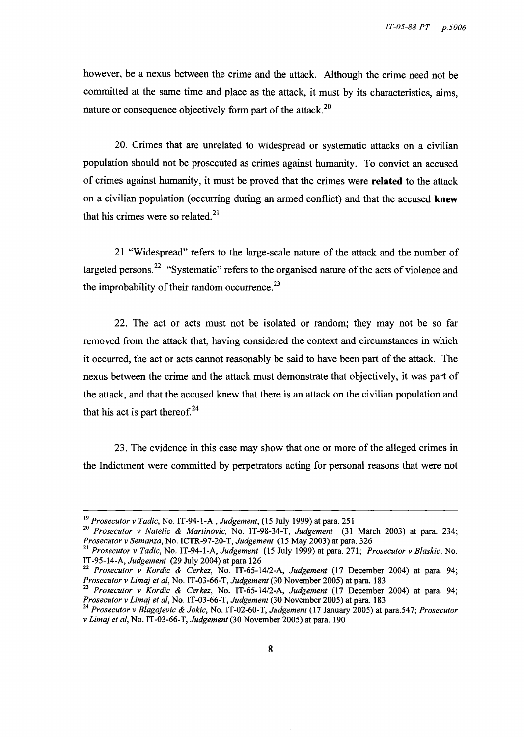however, be a nexus between the crime and the attack. Although the crime need not be committed at the same time and place as the attack, it must by its characteristics, aims, nature or consequence objectively form part of the attack.<sup>20</sup>

20. Crimes that are unrelated to widespread or systematic attacks on a civilian population should not be prosecuted as crimes against humanity. To convict an accused of crimes against humanity, it must be proved that the crimes were **related** to the attack on a civilian population (occurring during an armed conflict) and that the accused **knew** that his crimes were so related. $2<sup>1</sup>$ 

21 "Widespread" refers to the large-scale nature of the attack and the number of targeted persons.<sup>22</sup> "Systematic" refers to the organised nature of the acts of violence and the improbability of their random occurrence. $^{23}$ 

22. The act or acts must not be isolated or random; they may not be so far removed from the attack that, having considered the context and circumstances in which it occurred, the act or acts cannot reasonably be said to have been part of the attack. The nexus between the crime and the attack must demonstrate that objectively, it was part of the attack, and that the accused knew that there is an attack on the civilian population and that his act is part thereof. $^{24}$ 

23. The evidence in this case may show that one or more of the alleged crimes in the Indictment were committed by perpetrators acting for personal reasons that were not

*<sup>19</sup> Prosecutor* v *Tadic,* No. IT-94-1-A *,Judgement,* (15 July 1999) at para. 251

<sup>20</sup>*Prosecutor* v *Natelic* & *Martinovic,* No. IT -98-34-T, *Judgement* (31 March 2003) at para. 234; *Prosecutor* v *Semanza,* No. ICTR-97-20-T, *Judgement* (15 May 2003) at para. 326

<sup>21</sup>*Prosecutor* v *Tadic,* No. IT-94-1-A, *Judgement* (15 July 1999) at para. 271; *Prosecutor* v *Blaskic,* No. IT-95-14-A, *Judgement* (29 July 2004) at para 126

<sup>22</sup>*Prosecutor* v *Kordic* & *Cerkez,* No. *IT-65-14/2-A, Judgement* (17 December 2004) at para. 94; *Prosecutor* v *Lima) et ai,* No. IT -03-66-T, *Judgement* (30 November 2005) at para. 183

<sup>23</sup>*Prosecutor* v *Kordic* & *Cerkez,* No. *IT-65-14/2-A, Judgement* (17 December 2004) at para. 94; *Prosecutor* v *Lima) et ai,* No. IT -03-66-T, *Judgement* (30 November 2005) at para. 183

<sup>24</sup>*Prosecutor* v *B/ago)evic* & *Jokic,* No. IT-02-60-T, *Judgement* (17 January 2005) at para.547; *Prosecutor*  v *Lima) et ai,* No. IT -03-66-T, *Judgement* (30 November 2005) at para. 190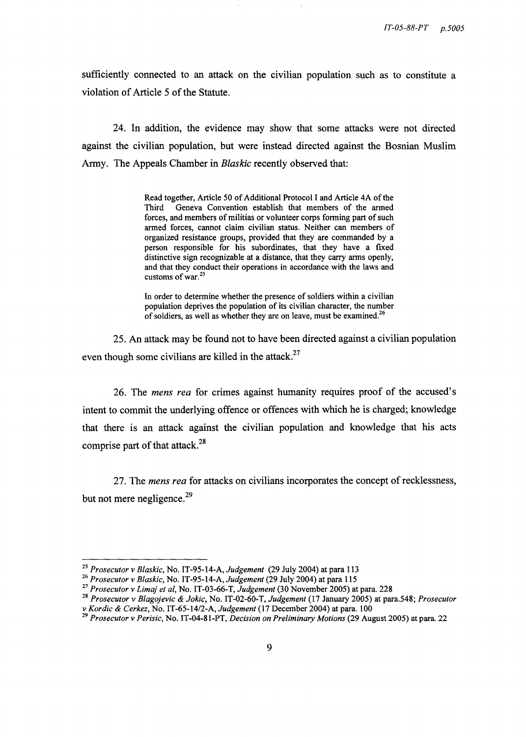sufficiently connected to an attack on the civilian population such as to constitute a violation of Article 5 of the Statute.

24. In addition, the evidence may show that some attacks were not directed against the civilian population, but were instead directed against the Bosnian Muslim Army. The Appeals Chamber in *Blaskic* recently observed that:

> Read together, Article 50 of Additional Protocol I and Article 4A of the Third Geneva Convention establish that members of the armed Geneva Convention establish that members of the armed forces, and members of militias or volunteer corps forming part of such armed forces, cannot claim civilian status. Neither can members of organized resistance groups, provided that they are commanded by a person responsible for his subordinates, that they have a fixed distinctive sign recognizable at a distance, that they carry arms openly, and that they conduct their operations in accordance with the laws and customs of war.<sup>25</sup>

> In order to determine whether the presence of soldiers within a civilian population deprives the population of its civilian character, the number of soldiers, as well as whether they are on leave, must be examined.<sup>26</sup>

25. An attack may be found not to have been directed against a civilian population even though some civilians are killed in the attack.<sup>27</sup>

26. The *mens rea* for crimes against humanity requires proof of the accused's intent to commit the underlying offence or offences with which he is charged; knowledge that there is an attack against the civilian population and knowledge that his acts comprise part of that attack. 28

27. The *mens rea* for attacks on civilians incorporates the concept of recklessness, but not mere negligence.<sup>29</sup>

*<sup>25</sup> Prosecutor* v *Blaskic,* No. IT-95-14-A, *Judgement* (29 July 2004) at para 113

*<sup>26</sup> Prosecutor* v *Blaskic,* No. IT -95-14-A, *Judgement* (29 July 2004) at para 115

<sup>27</sup>*Prosecutor* v *Limaj et ai,* No. IT-03-66-T, *Judgement* (30 November 2005) at para. 228

*<sup>28</sup> Prosecutor* v *Blagojevic* & *Jokic,* No. IT -02-60-T, *Judgement* (17 January 2005) at para.548; *Prosecutor*  v *Kordic* & *Cerkez,* No. *IT-65-14/2-A, Judgement* (17 December 2004) at para. 100

*<sup>29</sup> Prosecutor* v *Perisic,* No. IT -04-81-PT, *Decision on Preliminary Motions* (29 August 2005) at para. 22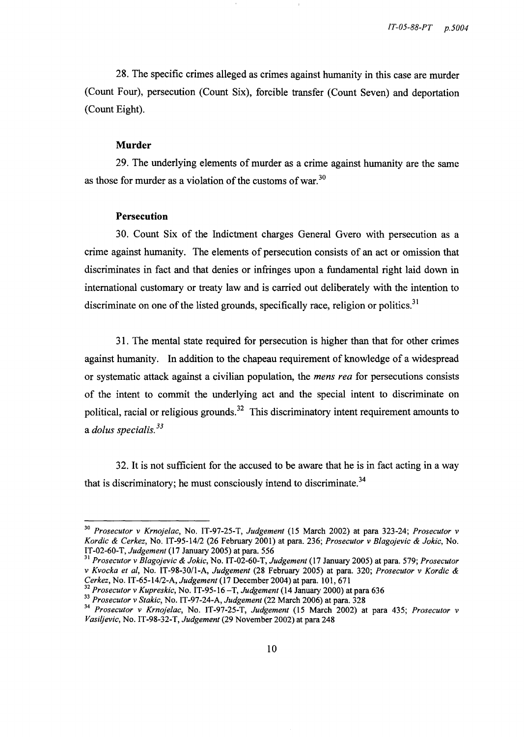28. The specific crimes alleged as crimes against humanity in this case are murder (Count Four), persecution (Count Six), forcible transfer (Count Seven) and deportation (Count Eight).

#### **Murder**

29. The underlying elements of murder as a crime against humanity are the same as those for murder as a violation of the customs of war.<sup>30</sup>

#### **Persecution**

30. Count Six of the Indictment charges General Gvero with persecution as a crime against humanity. The elements of persecution consists of an act or omission that discriminates in fact and that denies or infringes upon a fundamental right laid down in international customary or treaty law and is carried out deliberately with the intention to discriminate on one of the listed grounds, specifically race, religion or politics.<sup>31</sup>

31. The mental state required for persecution is higher than that for other crimes against humanity. In addition to the chapeau requirement of knowledge of a widespread or systematic attack against a civilian population, the *mens rea* for persecutions consists of the intent to commit the underlying act and the special intent to discriminate on political, racial or religious grounds.<sup>32</sup> This discriminatory intent requirement amounts to a *dolus specialis. <sup>33</sup>*

32. It is not sufficient for the accused to be aware that he is in fact acting in a way that is discriminatory; he must consciously intend to discriminate.<sup>34</sup>

*<sup>30</sup> Prosecutor* v *Krnojelac,* No. IT-97-25-T, *Judgement* (15 March 2002) at para 323-24; *Prosecutor* v *Kordic* & *Cerkez,* No. *IT-95-14/2* (26 February 2001) at para. 236; *Prosecutor* v *Blagojevic* & *Jokic,* No. IT-02-60-T, *Judgement* (17 January 2005) at para. 556

*<sup>31</sup> Prosecutor* v *B/agojevic* & *Jokic,* No. IT -02-60-T, *Judgement* (17 January 2005) at para. 579; *Prosecutor*  v *Kvocka et ai,* No. *IT-98-30/1-A, Judgement* (28 February 2005) at para. 320; *Prosecutor* v *Kordic* & *Cerkez,* No. *IT-65-14/2-A, Judgement* (17 December 2004) at para. 101,671

<sup>32</sup>*Prosecutor* v *Kupreskic,* No. IT-95-16 - T, *Judgement* (14 January 2000) at para 636

*<sup>33</sup> Prosecutor* v *Stakic,* No. IT-97-24-A, *Judgement* (22 March 2006) at para. 328

*<sup>34</sup> Prosecutor* v *Krnojelac,* No. IT-97-25-T, *Judgement* (15 March 2002) at para 435; *Prosecutor* v *Vasi/jevic,* No. IT-98-32-T, *Judgement* (29 November 2002) at para 248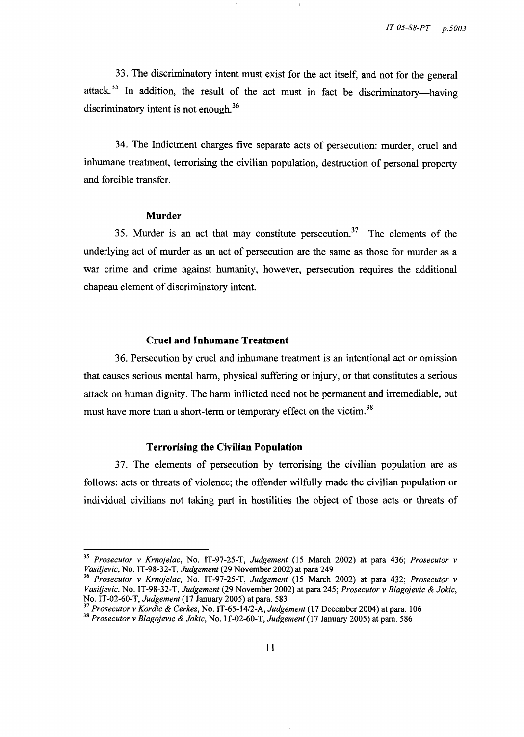33. The discriminatory intent must exist for the act itself, and not for the general attack.<sup>35</sup> In addition, the result of the act must in fact be discriminatory-having discriminatory intent is not enough.<sup>36</sup>

34. The Indictment charges five separate acts of persecution: murder, cruel and inhumane treatment, terrorising the civilian population, destruction of personal property and forcible transfer.

#### **Murder**

35. Murder is an act that may constitute persecution.<sup>37</sup> The elements of the underlying act of murder as an act of persecution are the same as those for murder as a war crime and crime against humanity, however, persecution requires the additional chapeau element of discriminatory intent.

## **Cruel and Inhumane Treatment**

36. Persecution by cruel and inhumane treatment is an intentional act or omission that causes serious mental harm, physical suffering or injury, or that constitutes a serious attack on human dignity. The harm inflicted need not be permanent and irremediable, but must have more than a short-term or temporary effect on the victim.<sup>38</sup>

#### **Terrorising the Civilian Population**

37. The elements of persecution by terrorising the civilian population are as follows: acts or threats of violence; the offender wilfully made the civilian population or individual civilians not taking part in hostilities the object of those acts or threats of

*<sup>35</sup> Prosecutor* v *Krnojelac,* No. IT-97-25-T, *Judgement* (15 March 2002) at para 436; *Prosecutor* v *Vasi/jevic,* No. IT-98-32-T, *Judgement* (29 November 2002) at para 249

*<sup>36</sup> Prosecutor* v *Krnojelac,* No. IT-97-25-T, *Judgement* (15 March 2002) at para 432; *Prosecutor* v *Vasi/jevic,* No. IT-98-32-T, *Judgement* (29 November 2002) at para 245; *Prosecutor* v *Blagojevic* & *Jokic,*  No. IT -02-60-T, *Judgement* (17 January 2005) at para. 583

*<sup>37</sup> Prosecutor* v *Kordic* & *Cerkez,* No. *IT-65-14/2-A, Judgement* (17 December 2004) at para. 106

*<sup>38</sup> Prosecutor* v *Blagojevic* & *Jokic,* No. IT-02-60-T, *Judgement* (17 January 2005) at para. 586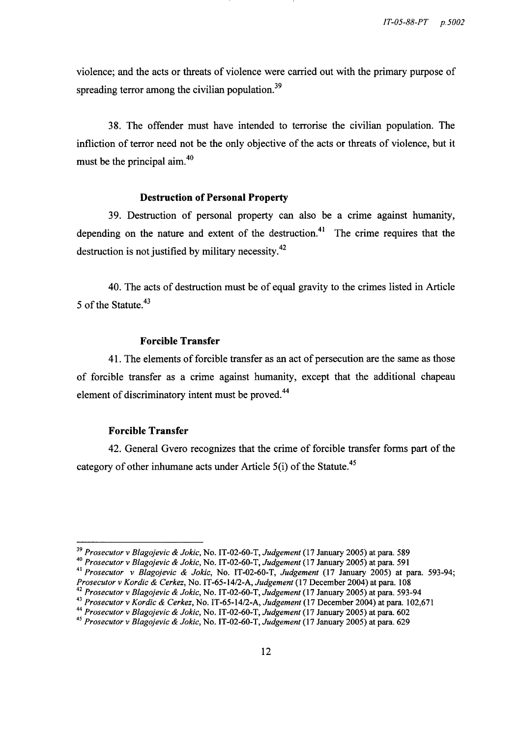violence; and the acts or threats of violence were carried out with the primary purpose of spreading terror among the civilian population.<sup>39</sup>

38. The offender must have intended to terrorise the civilian population. The infliction of terror need not be the only objective of the acts or threats of violence, but it must be the principal aim.4o

#### **Destruction of Personal Property**

39. Destruction of personal property can also be a crime against humanity, depending on the nature and extent of the destruction.<sup>41</sup> The crime requires that the destruction is not justified by military necessity.42

40. The acts of destruction must be of equal gravity to the crimes listed in Article 5 of the Statute.<sup>43</sup>

## **Forcible Transfer**

41. The elements of forcible transfer as an act of persecution are the same as those of forcible transfer as a crime against humanity, except that the additional chapeau element of discriminatory intent must be proved.<sup>44</sup>

## **Forcible Transfer**

42. General Gvero recognizes that the crime of forcible transfer forms part of the category of other inhumane acts under Article  $5(i)$  of the Statute.<sup>45</sup>

*<sup>39</sup> Prosecutor* v *B/agojevic* & *Jokic,* No. IT -02-60-T, *Judgement* (17 January 2005) at para. 589

*<sup>40</sup> Prosecutor* v *Blagojevic* & *Jokic,* No. IT -02-60-T, *Judgement* (17 January 2005) at para. 591

<sup>41</sup>*Prosecutor* v *Blagojevic* & *Jokic,* No. IT -02-60-T, *Judgement* (17 January 2005) at para. 593-94; *Prosecutor* v *Kordic* & *Cerkez,* No. IT *-65-14/2-A, Judgement* (17 December 2004) at para. 108

*<sup>42</sup> Prosecutor* v *Blagojevic* & *Jokic,* No. IT -02-60-T, *Judgement* (17 January 2005) at para. 593-94

*<sup>43</sup> Prosecutor* v *Kordic* & *Cerkez,* No. *IT-65-14/2-A, Judgement* (17 December 2004) at para. 102,671

*<sup>44</sup> Prosecutor* v *Blagojevic* & *Jokic,* No. IT -02-60-T, *Judgement* (17 January 2005) at para. 602

*<sup>45</sup> Prosecutor* v *B/agojevic* & *Jokic,* No. IT -02-60-T, *Judgement* (17 January 2005) at para. 629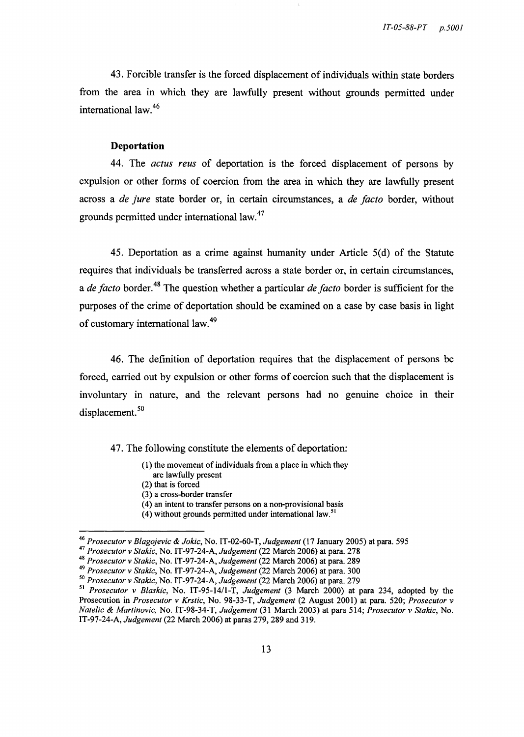43. Forcible transfer is the forced displacement of individuals within state borders from the area in which they are lawfully present without grounds permitted under international law. $46$ 

#### **Deportation**

44. The *actus reus* of deportation is the forced displacement of persons by expulsion or other forms of coercion from the area in which they are lawfully present across a *de jure* state border or, in certain circumstances, a *de facto* border, without grounds permitted under international law.<sup>47</sup>

45. Deportation as a crime against humanity under Article 5(d) of the Statute requires that individuals be transferred across a state border or, in certain circumstances, a *de facto* border. 48 The question whether a particular *de facto* border is sufficient for the purposes of the crime of deportation should be examined on a case by case basis in light of customary international law. 49

46. The definition of deportation requires that the displacement of persons be forced, carried out by expulsion or other forms of coercion such that the displacement is involuntary in nature, and the relevant persons had no genuine choice in their displacement.<sup>50</sup>

47. The following constitute the elements of deportation:

- (1) the movement of individuals from a place in which they
	- are lawfully present
- (2) that is forced
- (3) a cross-border transfer
- (4) an intent to transfer persons on a non-provisional basis
- (4) without grounds permitted under international law.<sup>51</sup>

*<sup>46</sup> Prosecutor* v *Blagojevic* & *Jokic,* No. IT -02-60-T, *Judgement* (17 January 2005) at para. 595

*<sup>47</sup> Prosecutor* v *Stakic,* No. IT -97-24-A, *Judgement* (22 March 2006) at para. 278

*<sup>48</sup> Prosecutor* v *Stakic,* No. IT-97-24-A, *Judgement* (22 March 2006) at para. 289

*<sup>49</sup> Prosecutor* v *Stakic,* No. IT-97-24-A, *Judgement* (22 March 2006) at para. 300

*<sup>50</sup> Prosecutor* v *Stakic,* No. IT-97-24-A, *Judgement* (22 March 2006) at para. 279

<sup>51</sup>*Prosecutor* v *Blaskic,* No. IT-95-14/1-T, *Judgement* (3 March 2000) at para 234, adopted by the Prosecution in *Prosecutor* v *Krstic,* No. 98-33-T, *Judgement* (2 August 2001) at para. 520; *Prosecutor* v *Natelic* & *Martinovic,* No. IT-98-34-T, *Judgement* (31 March 2003) at para 514; *Prosecutor* v *Stakic,* No. IT-97-24-A, *Judgement* (22 March 2006) at paras 279, 289 and 319.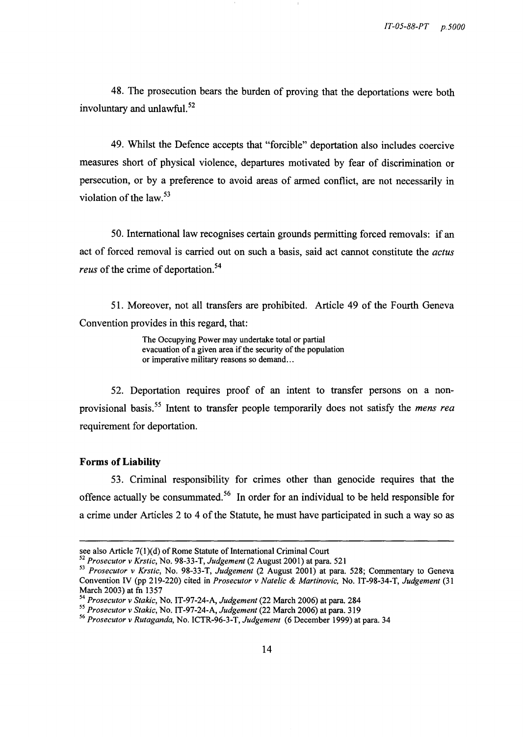48. The prosecution bears the burden of proving that the deportations were both involuntary and unlawful. 52

49. Whilst the Defence accepts that "forcible" deportation also includes coercive measures short of physical violence, departures motivated by fear of discrimination or persecution, or by a preference to avoid areas of armed conflict, are not necessarily in violation of the law. $53$ 

50. International law recognises certain grounds permitting forced removals: if an act of forced removal is carried out on such a basis, said act cannot constitute the *actus reus* of the crime of deportation.<sup>54</sup>

51. Moreover, not all transfers are prohibited. Article 49 of the Fourth Geneva Convention provides in this regard, that:

> The Occupying Power may undertake total or partial evacuation of a given area if the security of the population or imperative military reasons so demand...

52. Deportation requires proof of an intent to transfer persons on a nonprovisional basis. 55 Intent to transfer people temporarily does not satisfy the *mens rea*  requirement for deportation.

## **Forms** of Liability

53. Criminal responsibility for crimes other than genocide requires that the offence actually be consummated. 56 In order for an individual to be held responsible for a crime under Articles 2 to 4 of the Statute, he must have participated in such a way so as

see also Article 7(1)(d) of Rome Statute of International Criminal Court

*<sup>52</sup> Prosecutor* v *Krstic,* No. 98-33-T, *Judgement* (2 August 2001) at para. 521

*<sup>53</sup> Prosecutor* v *Krstic,* No. 98-33-T, *Judgement* (2 August 2001) at para. 528; Commentary to Geneva Convention IV (pp 219-220) cited in *Prosecutor* v *Natelic* & *Martinovic,* No. IT -98-34-T, *Judgement (31*  March 2003) at fn 1357

*<sup>54</sup> Prosecutor* v *Stakic,* No. IT-97-24-A, *Judgement* (22 March 2006) at para. 284

*<sup>55</sup> Prosecutor* v *Stakic,* No. IT-97-24-A, *Judgement* (22 March 2006) at para. 319

*<sup>56</sup> Prosecutor* v *Rutaganda,* No. ICTR-96-3-T, *Judgement* (6 December 1999) at para. 34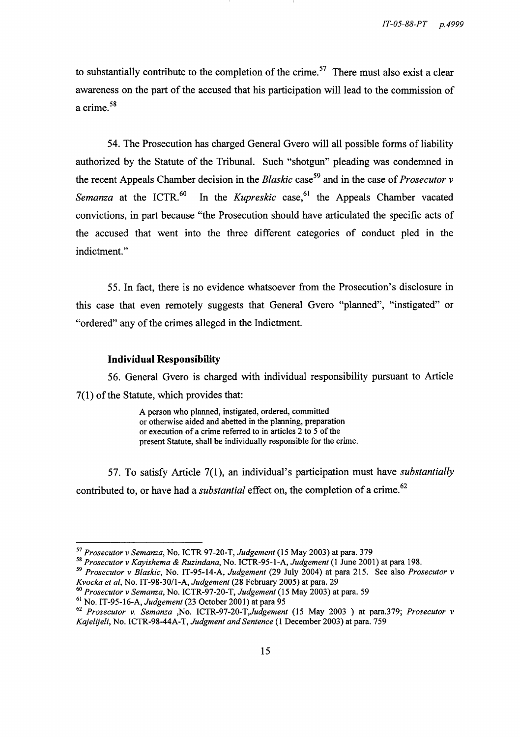to substantially contribute to the completion of the crime.<sup>57</sup> There must also exist a clear awareness on the part of the accused that his participation will lead to the commission of a crime. 58

54. The Prosecution has charged General Gvero will all possible forms of liability authorized by the Statute of the Tribunal. Such "shotgun" pleading was condemned in the recent Appeals Chamber decision in the *Blaskic* case 59 and in the case of *Prosecutor* v *Semanza* at the ICTR.<sup>60</sup> In the *Kupreskic* case,<sup>61</sup> the Appeals Chamber vacated convictions, in part because "the Prosecution should have articulated the specific acts of the accused that went into the three different categories of conduct pled in the indictment."

55. In fact, there is no evidence whatsoever from the Prosecution's disclosure in this case that even remotely suggests that General Gvero "planned", "instigated" or "ordered" any of the crimes alleged in the Indictment.

## **Individual Responsibility**

56. General Gvero is charged with individual responsibility pursuant to Article 7(1) of the Statute, which provides that:

> A person who planned, instigated, ordered, committed or otherwise aided and abetted in the planning, preparation or execution of a crime referred to in articles 2 to 5 of the present Statute, shall be individually responsible for the crime.

57. To satisfy Article 7(1), an individual's participation must have *substantially*  contributed to, or have had a *substantial* effect on, the completion of a crime.<sup>62</sup>

*60 Prosecutor* v *Semanza,* No. ICTR-97-20-T, *Judgement* (15 May 2003) at para. 59

*<sup>57</sup> Prosecutor* v *Semanza,* No. ICTR 97-20-T, *Judgement* (15 May 2003) at para. 379

*<sup>58</sup> Prosecutor* v *Kayishema* & *Ruzindana,* No. ICTR-95-I-A, *Judgement* (I June 2001) at para 198.

*<sup>59</sup> Prosecutor* v *Blaskic,* No. IT-95-14-A, *Judgement* (29 July 2004) at para 215. See also *Prosecutor* v *Kvocka et ai,* No. *IT-98-30/1-A, Judgement* (28 February 2005) at para. 29

<sup>&</sup>lt;sup>61</sup> No. IT-95-16-A, *Judgement* (23 October 2001) at para 95

*<sup>62</sup> Prosecutor* v. *Semanza* ,No. *ICTR-97-20-T,Judgement* (15 May 2003 ) at para.379; *Prosecutor* v *Kajelije/i,* No. ICTR-98-44A-T, *Judgment and Sentence* (1 December 2003) at para. 759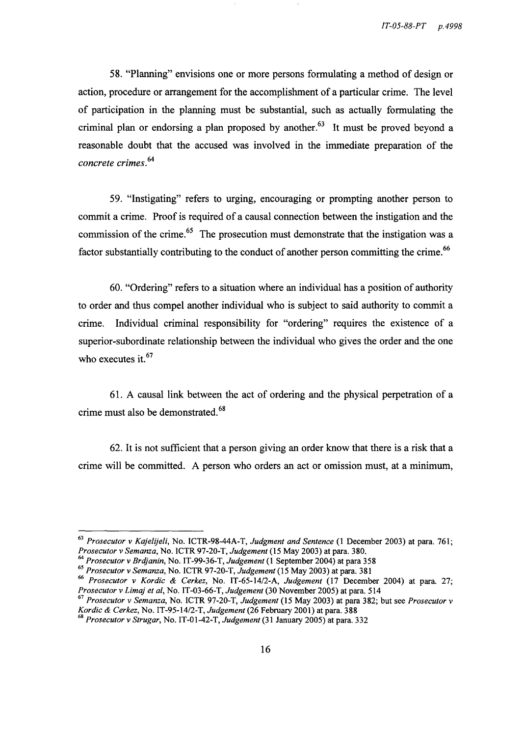58. "Planning" envisions one or more persons formulating a method of design or action, procedure or arrangement for the accomplishment of a particular crime. The level of participation in the planning must be substantial, such as actually formulating the criminal plan or endorsing a plan proposed by another.<sup>63</sup> It must be proved beyond a reasonable doubt that the accused was involved in the immediate preparation of the *concrete crimes.<sup>64</sup>*

59. "Instigating" refers to urging, encouraging or prompting another person to commit a crime. Proof is required of a causal connection between the instigation and the commission of the crime.<sup>65</sup> The prosecution must demonstrate that the instigation was a factor substantially contributing to the conduct of another person committing the crime.<sup>66</sup>

60. "Ordering" refers to a situation where an individual has a position of authority to order and thus compel another individual who is subject to said authority to commit a crime. Individual criminal responsibility for "ordering" requires the existence of a superior-subordinate relationship between the individual who gives the order and the one who executes it.<sup>67</sup>

61. A causal link between the act of ordering and the physical perpetration of a crime must also be demonstrated. 68

62. It is not sufficient that a person giving an order know that there is a risk that a crime will be committed. A person who orders an act or omission must, at a minimum,

*<sup>63</sup> Prosecutor* v *Kajelije/i,* No. ICTR-98-44A-T, *Judgment and Sentence* (1 December 2003) at para. 761; *Prosecutor* v *Semanza,* No. ICTR 97-20-T, *Judgement* (15 May 2003) at para. 380.

*<sup>64</sup> Prosecutor* v *Brdjanin,* No. IT -99-36-T, *Judgement* (1 September 2004) at para 358

*<sup>65</sup> Prosecutor* v *Semanza,* No. ICTR 97-20-T, *Judgement* (15 May 2003) at para. 381

*<sup>66</sup> Prosecutor* v *Kordic* & *Cerkez,* No. *IT-65-14/2-A, Judgement* (17 December 2004) at para. 27;

<sup>&</sup>lt;sup>67</sup> Prosecutor v Semanza, No. ICTR 97-20-T, Judgement (15 May 2003) at para 382; but see Prosecutor v *Kordic* & *Cerkez,* No. *IT-95-14/2-T, Judgement* (26 February 2001) at para. 388

<sup>~</sup>*Prosecutor* d v *Strugar,* No. IT -01-42-T, *Ju gement* (31 January 2005) at para. 332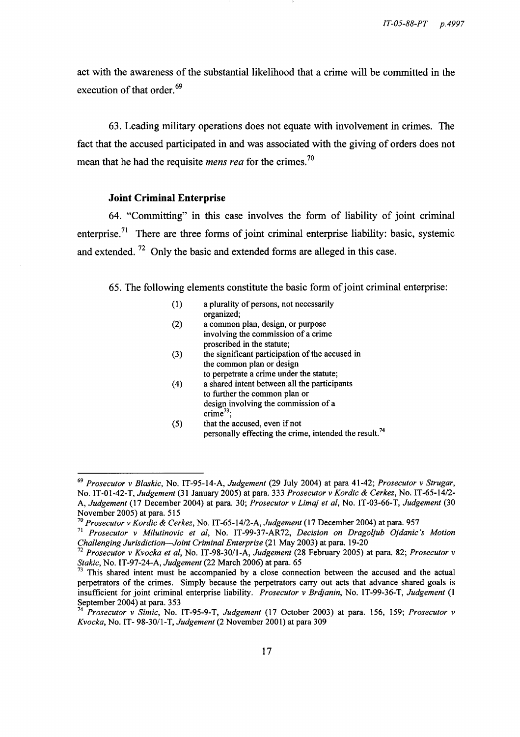act with the awareness of the substantial likelihood that a crime will be committed in the execution of that order.<sup>69</sup>

63. Leading military operations does not equate with involvement in crimes. The fact that the accused participated in and was associated with the giving of orders does not mean that he had the requisite *mens rea* for the crimes.<sup>70</sup>

#### **Joint Criminal Enterprise**

64. "Committing" in this case involves the form of liability of joint criminal enterprise.<sup>71</sup> There are three forms of joint criminal enterprise liability: basic, systemic and extended.  $72$  Only the basic and extended forms are alleged in this case.

65. The following elements constitute the basic form of joint criminal enterprise:

| (1) | a plurality of persons, not necessarily<br>organized;                                                                                          |
|-----|------------------------------------------------------------------------------------------------------------------------------------------------|
| (2) | a common plan, design, or purpose<br>involving the commission of a crime<br>proscribed in the statute;                                         |
| (3) | the significant participation of the accused in<br>the common plan or design<br>to perpetrate a crime under the statute;                       |
| (4) | a shared intent between all the participants<br>to further the common plan or<br>design involving the commission of a<br>crime <sup>73</sup> : |
| (5) | that the accused, even if not<br>personally effecting the crime, intended the result. <sup>74</sup>                                            |

*<sup>69</sup> Prosecutor* v *Blaskic,* No. IT-95-14-A, *Judgement* (29 July 2004) at para 41-42; *Prosecutor* v *Strugar,*  No. IT-01-42-T, *Judgement* (31 January 2005) at para. 333 *Prosecutor* v *Kordic* & *Cerkez,* No. *IT-65-14/2-* A, *Judgement* (17 December 2004) at para. 30; *Prosecutor* v *Limaj et ai,* No. IT-03-66-T, *Judgement (30*  November 2005) at para. 515

<sup>70</sup>*Prosecutor* v *Kordic* & *Cerkez,* No. *IT-65-14/2-A, Judgement* (17 December 2004) at para. 957

<sup>71</sup>*Prosecutor* v *Milutinovic et ai,* No. IT-99-37-AR72, *Decision on Dragoljub Ojdanic's Motion Challenging Jurisdiction-Joint Criminal Enterprise* (21 May 2003) at para. 19-20

<sup>72</sup>*Prosecutor* v *Kvocka et ai,* No. IT -98-301l-A, *Judgement* (28 February 2005) at para. 82; *Prosecutor* v *Stakic,* No. IT-97-24-A, *Judgement* (22 March 2006) at para. 65

 $73$  This shared intent must be accompanied by a close connection between the accused and the actual perpetrators of the crimes. Simply because the perpetrators carry out acts that advance shared goals is insufficient for joint criminal enterprise liability. *Prosecutor* v *Brdjanin,* No. IT-99-36-T, *Judgement* (1 September 2004) at para. 353

*<sup>74</sup> Prosecutor* v *Simic,* No. IT-95-9-T, *Judgement* (17 October 2003) at para. 156, 159; *Prosecutor* v *Kvocka,* No. IT- 98-301l-T, *Judgement* (2 November 2001) at para 309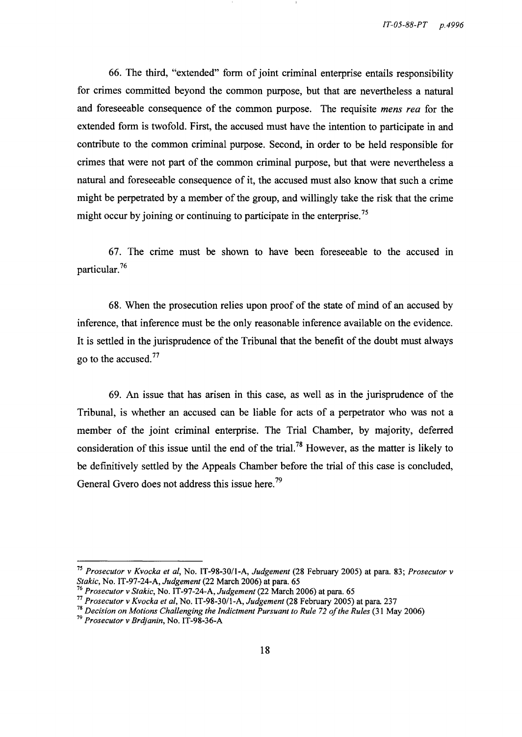66. The third, "extended" form of joint criminal enterprise entails responsibility for crimes committed beyond the common purpose, but that are nevertheless a natural and foreseeable consequence of the common purpose. The requisite *mens rea* for the extended form is twofold. First, the accused must have the intention to participate in and contribute to the common criminal purpose. Second, in order to be held responsible for crimes that were not part of the common criminal purpose, but that were nevertheless a natural and foreseeable consequence of it, the accused must also know that such a crime might be perpetrated by a member of the group, and willingly take the risk that the crime might occur by joining or continuing to participate in the enterprise.<sup>75</sup>

67. The crime must be shown to have been foreseeable to the accused in particular. 76

68. When the prosecution relies upon proof of the state of mind of an accused by inference, that inference must be the only reasonable inference available on the evidence. It is settled in the jurisprudence of the Tribunal that the benefit of the doubt must always go to the accused. 77

69. An issue that has arisen in this case, as well as in the jurisprudence of the Tribunal, is whether an accused can be liable for acts of a perpetrator who was not a member of the joint criminal enterprise. The Trial Chamber, by majority, deferred consideration of this issue until the end of the trial.<sup>78</sup> However, as the matter is likely to be definitively settled by the Appeals Chamber before the trial of this case is concluded, General Gvero does not address this issue here.<sup>79</sup>

*<sup>75</sup> Prosecutor* v *Kvocka et ai,* No. IT-98-30/1-A, *Judgement* (28 February 2005) at para. 83; *Prosecutor* v *Stakic,* No. IT-97-24-A, *Judgement* (22 March 2006) at para. 65

*<sup>76</sup> Prosecutor* v *Stakic,* No. IT-97-24-A, *Judgement* (22 March 2006) at para. 65

<sup>77</sup>*Prosecutor* v *Kvocka et ai,* No. IT -98-30/1-A, *Judgement* (28 February 2005) at para 237

*<sup>78</sup> Decision on Motions Challenging the Indictment Pursuant to Rule* 72 *of the Rules* (31 May 2006)

*<sup>79</sup> Prosecutor* v *Brdjanin,* No. IT-98-36-A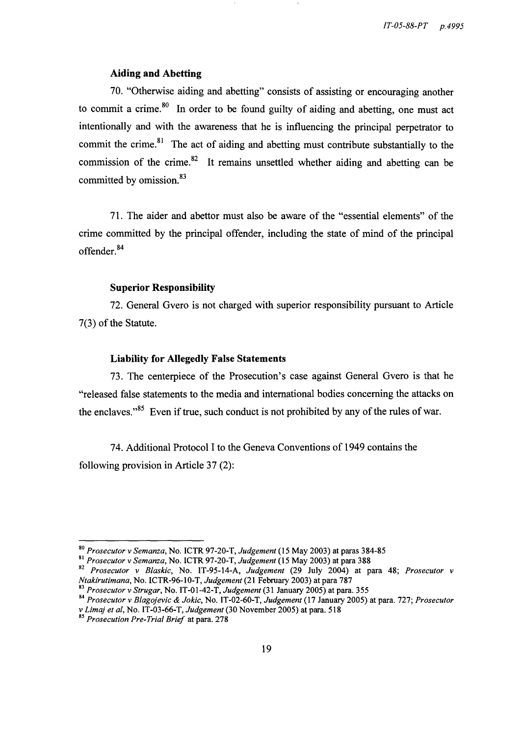## Aiding and Abetting

70. "Otherwise aiding and abetting" consists of assisting or encouraging another to commit a crime. $80$  In order to be found guilty of aiding and abetting, one must act intentionally and with the awareness that he is influencing the principal perpetrator to commit the crime.<sup>81</sup> The act of aiding and abetting must contribute substantially to the commission of the crime. $82$  It remains unsettled whether aiding and abetting can be committed by omission.<sup>83</sup>

71. The aider and abettor must also be aware of the "essential elements" of the crime committed by the principal offender, including the state of mind of the principal offender. 84

#### Superior Responsibility

72. General Gvero is not charged with superior responsibility pursuant to Article 7(3) of the Statute.

#### Liability for Allegedly False Statements

73. The centerpiece of the Prosecution's case against General Gvero is that he "released false statements to the media and international bodies concerning the attacks on the enclaves. $185$  Even if true, such conduct is not prohibited by any of the rules of war.

74. Additional Protocol I to the Geneva Conventions of 1949 contains the following provision in Article 37 (2):

<sup>80</sup>*Prosecutor* v *Semanza,* No. ICTR 97-20-T, *Judgement* (15 May 2003) at paras 384-85

<sup>81</sup>*Prosecutor* v *Semanza,* No. ICTR 97 -20-T, *Judgement* (15 May 2003) at para 388

<sup>82</sup>*Prosecutor* v *Blaskic,* No. IT-95-14-A, *Judgement* (29 July 2004) at para 48; *Prosecutor* v *Ntakirutimana,* No. ICTR-96-1 0-T, *Judgement* (21 February 2003) at para 787

*<sup>83</sup> Prosecutor* v *Strugar,* No. IT -01-42-T, *Judgement* (31 January 2005) at para. 355

*<sup>84</sup> Prosecutor* v *Blagojevic* & *Jokic,* No. IT-02-60-T, *Judgement* (17 January 2005) at para. 727; *Prosecutor*  v *Limaj et ai,* No. IT -03-66-T, *Judgement* (30 November 2005) at para. 518

*<sup>85</sup> Prosecution Pre-Trial Brief* at para. 278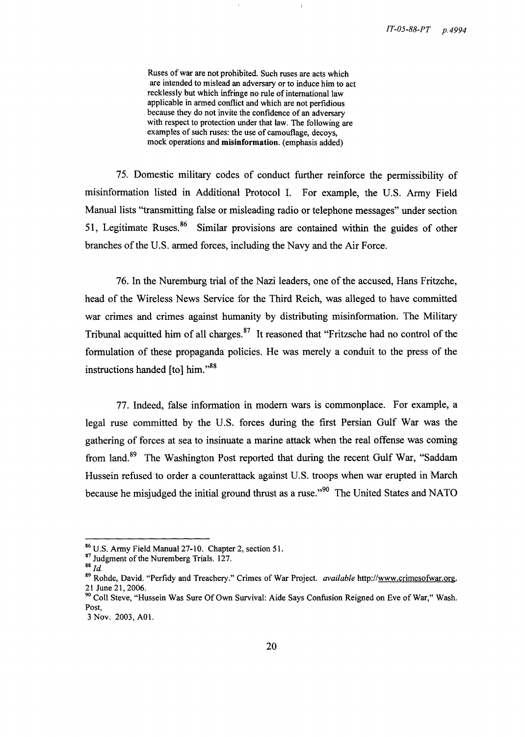Ruses of war are not prohibited. Such ruses are acts which are intended to mislead an adversary or to induce him to act recklessly but which infringe no rule of international law applicable in armed conflict and which are not perfidious because they do not invite the confidence of an adversary with respect to protection under that law. The following are examples of such ruses: the use of camouflage, decoys, mock operations and misinformation. (emphasis added)

75. Domestic military codes of conduct further reinforce the permissibility of misinformation listed in Additional Protocol I. For example, the U.S. Army Field Manual lists "transmitting false or misleading radio or telephone messages" under section 51, Legitimate Ruses. 86 Similar provisions are contained within the guides of other branches of the U.S. armed forces, including the Navy and the Air Force.

76. In the Nuremburg trial of the Nazi leaders, one of the accused, Hans Fritzche, head of the Wireless News Service for the Third Reich, was alleged to have committed war crimes and crimes against humanity by distributing misinformation. The Military Tribunal acquitted him of all charges. $87$  It reasoned that "Fritzsche had no control of the formulation of these propaganda policies. He was merely a conduit to the press of the instructions handed [to] him."<sup>88</sup>

77. Indeed, false information in modem wars is commonplace. For example, a legal ruse committed by the U.S. forces during the first Persian Gulf War was the gathering of forces at sea to insinuate a marine attack when the real offense was coming from land.<sup>89</sup> The Washington Post reported that during the recent Gulf War, "Saddam Hussein refused to order a counterattack against U.S. troops when war erupted in March because he misjudged the initial ground thrust as a ruse."<sup>90</sup> The United States and NATO

<sup>86</sup> U.S. Army Field Manual 27-10. Chapter 2, section 51.

<sup>87</sup> Judgment of the Nuremberg Trials. 127. *88 Id* 

<sup>89</sup> Rohde, David. "Perfidy and Treachery." Crimes of War Project. *available* http://www.crimesofwar.org. 21 June 21, 2006.

<sup>&</sup>lt;sup>90</sup> Coll Steve, "Hussein Was Sure Of Own Survival: Aide Says Confusion Reigned on Eve of War," Wash. Post,

<sup>3</sup> Nov. 2003, AOl.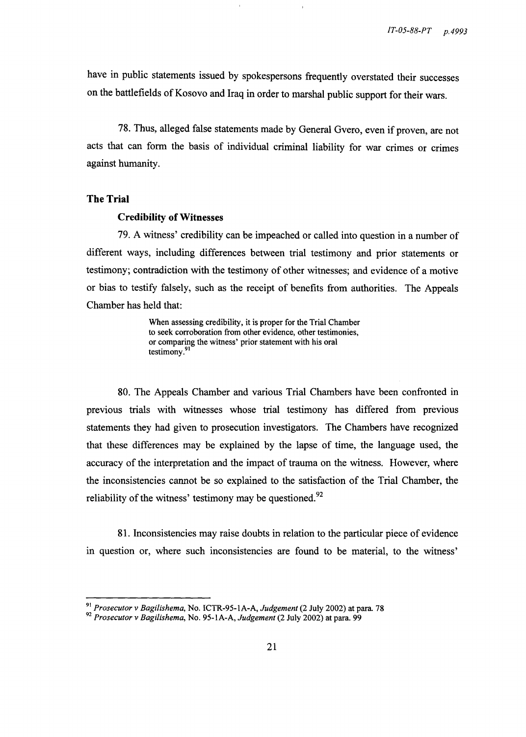have in public statements issued by spokespersons frequently overstated their successes on the battlefields of Kosovo and Iraq in order to marshal public support for their wars.

78. Thus, alleged false statements made by General Gvero, even if proven, are not acts that can form the basis of individual criminal liability for war crimes or crimes against humanity.

## **The Trial**

#### **Credibility of Witnesses**

79. A witness' credibility can be impeached or called into question in a number of different ways, including differences between trial testimony and prior statements or testimony; contradiction with the testimony of other witnesses; and evidence of a motive or bias to testify falsely, such as the receipt of benefits from authorities. The Appeals Chamber has held that:

> When assessing credibility, it is proper for the Trial Chamber to seek corroboration from other evidence, other testimonies, or comparing the witness' prior statement with his oral testimony.<sup>91</sup>

80. The Appeals Chamber and various Trial Chambers have been confronted in previous trials with witnesses whose trial testimony has differed from previous statements they had given to prosecution investigators. The Chambers have recognized that these differences may be explained by the lapse of time, the language used, the accuracy of the interpretation and the impact of trauma on the witness. However, where the inconsistencies cannot be so explained to the satisfaction of the Trial Chamber, the reliability of the witness' testimony may be questioned. $92$ 

81. Inconsistencies may raise doubts in relation to the particular piece of evidence in question or, where such inconsistencies are found to be material, to the witness'

<sup>91</sup>*Prosecutor* v *Bagilishema,* No. ICTR-95-1A-A, *Judgement* (2 July 2002) at para 78

*<sup>92</sup> Prosecutor* v *Bagilishema,* No. 95-1A-A, *Judgement* (2 July 2002) at para. 99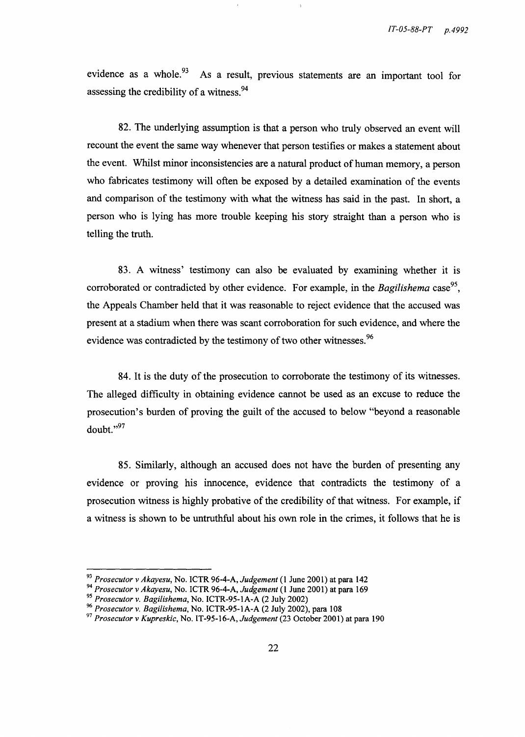evidence as a whole. $93$  As a result, previous statements are an important tool for assessing the credibility of a witness.<sup>94</sup>

82. The underlying assumption is that a person who truly observed an event will recount the event the same way whenever that person testifies or makes a statement about the event. Whilst minor inconsistencies are a natural product of human memory, a person who fabricates testimony will often be exposed by a detailed examination of the events and comparison of the testimony with what the witness has said in the past. In short, a person who is lying has more trouble keeping his story straight than a person who is telling the truth.

83. A witness' testimony can also be evaluated by examining whether it is corroborated or contradicted by other evidence. For example, in the *Bagilishema* case<sup>95</sup>, the Appeals Chamber held that it was reasonable to reject evidence that the accused was present at a stadium when there was scant corroboration for such evidence, and where the evidence was contradicted by the testimony of two other witnesses.<sup>96</sup>

84. It is the duty of the prosecution to corroborate the testimony of its witnesses. The alleged difficulty in obtaining evidence cannot be used as an excuse to reduce the prosecution's burden of proving the guilt of the accused to below "beyond a reasonable doubt.',97

85. Similarly, although an accused does not have the burden of presenting any evidence or proving his innocence, evidence that contradicts the testimony of a prosecution witness is highly probative of the credibility of that witness. For example, if a witness is shown to be untruthful about his own role in the crimes, it follows that he is

*<sup>93</sup> Prosecutor* v *Akayesu,* No. ICTR 96-4-A, *Judgement* (1 June 2001) at para 142

*<sup>94</sup> Prosecutor* v *Akayesu,* No. ICTR 96-4-A, *Judgement* (1 June 2001) at para 169

*<sup>95</sup> Prosecutor* v. *Bagilishema,* No. ICTR-95-1A-A (2 July 2002)

*<sup>96</sup> Prosecutor* v. *Bagilishema,* No. ICTR-95-1A-A (2 July 2002), para 108

*<sup>97</sup> Prosecutor* v *Kupreskic,* No. IT-95-16-A, *Judgement* (23 October 2001) at para 190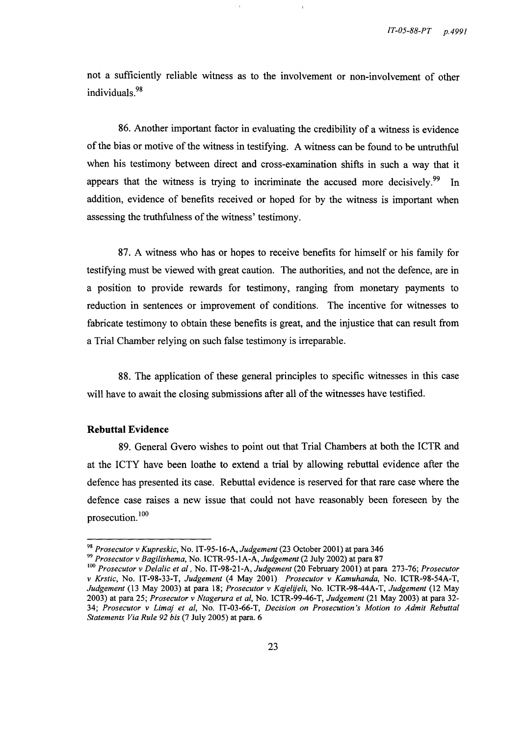not a sufficiently reliable witness as to the involvement or non-involvement of other individuals.<sup>98</sup>

86. Another important factor in evaluating the credibility of a witness is evidence of the bias or motive of the witness in testifying. A witness can be found to be untruthful when his testimony between direct and cross-examination shifts in such a way that it appears that the witness is trying to incriminate the accused more decisively.<sup>99</sup> In addition, evidence of benefits received or hoped for by the witness is important when assessing the truthfulness of the witness' testimony.

87. A witness who has or hopes to receive benefits for himself or his family for testifying must be viewed with great caution. The authorities, and not the defence, are in a position to provide rewards for testimony, ranging from monetary payments to reduction in sentences or improvement of conditions. The incentive for witnesses to fabricate testimony to obtain these benefits is great, and the injustice that can result from a Trial Chamber relying on such false testimony is irreparable.

88. The application of these general principles to specific witnesses in this case will have to await the closing submissions after all of the witnesses have testified.

## **Rebuttal Evidence**

89. General Gvero wishes to point out that Trial Chambers at both the ICTR and at the ICTY have been loathe to extend a trial by allowing rebuttal evidence after the defence has presented its case. Rebuttal evidence is reserved for that rare case where the defence case raises a new issue that could not have reasonably been foreseen by the prosecution. 100

*<sup>98</sup> Prosecutor* v *Kupreskic,* No. IT-95-16-A, *Judgement* (23 October 2001) at para 346

*<sup>99</sup> Prosecutor* v *Bagilishema,* No. ICTR-95-1A-A, *Judgement* (2 July 2002) at para 87

<sup>100</sup>*Prosecutor* v *Delalic et aI,* No. IT -98-21-A, *Judgement* (20 February 2001) at para 273-76; *Prosecutor*  v *Krstic,* No. IT-98-33-T, *Judgement* (4 May 2001) *Prosecutor* v *Kamuhanda,* No. ICTR-98-54A-T, *Judgement* (13 May 2003) at para 18; *Prosecutor* v *Kajelijeli,* No. ICTR-98-44A-T, *Judgement* (12 May 2003) at para 25; *Prosecutor* v *Ntagerura et aI,* No. ICTR-99-46-T, *Judgement* (21 May 2003) at para 32- *34; Prosecutor* v *Limaj et aI,* No. IT -03-66-T, *Decision on Prosecution's Motion to Admit Rebuttal Statements Via Rule* 92 *bis* (7 July 2005) at para. 6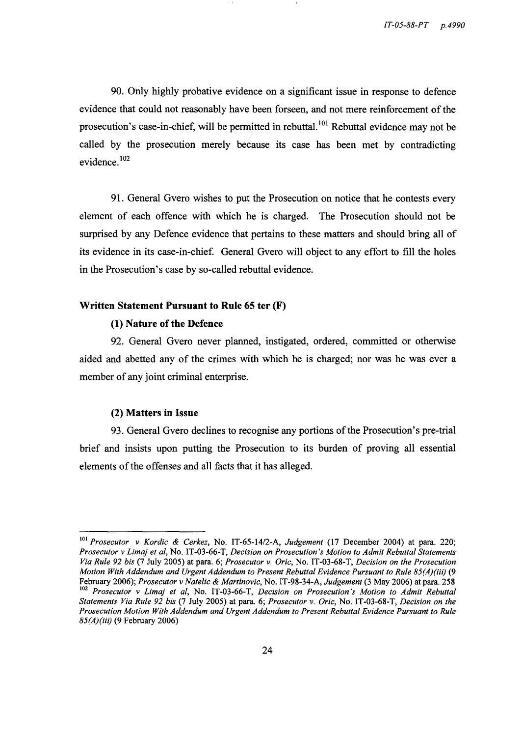90. Only highly probative evidence on a significant issue in response to defence evidence that could not reasonably have been forseen, and not mere reinforcement of the prosecution's case-in-chief, will be permitted in rebuttal. 101 Rebuttal evidence may not be called by the prosecution merely because its case has been met by contradicting evidence. 102

91. General Gvero wishes to put the Prosecution on notice that he contests every element of each offence with which he is charged. The Prosecution should not be surprised by any Defence evidence that pertains to these matters and should bring all of its evidence in its case-in-chief. General Gvero will object to any effort to fill the holes in the Prosecution's case by so-called rebuttal evidence.

## Written Statement Pursuant to Rule 65 ter (F)

## (1) Nature of the Defence

92. General Gvero never planned, instigated, ordered, committed or otherwise aided and abetted any of the crimes with which he is charged; nor was he was ever a member of any joint criminal enterprise.

#### (2) Matters in Issue

93. General Gvero declines to recognise any portions of the Prosecution's pre-trial brief and insists upon putting the Prosecution to its burden of proving all essential elements of the offenses and all facts that it has alleged.

<sup>101</sup>*Prosecutor* v *Kordic* & *Cerkez,* No. IT-65-14/2-A, *Judgement* (17 December 2004) at para. 220; *Prosecutor* v *Lima} et ai,* No. IT -03-66-T, *Decision on Prosecution's Motion to Admit Rebuttal Statements Via Rule* 92 *bis* (7 July 2005) at para. 6; *Prosecutor* v. *Oric,* No. IT-03-68-T, *Decision on the Prosecution Motion With Addendum and Urgent Addendum to Present Rebuttal Evidence Pursuant to Rule 85(A)(iii)* (9 February 2006); *Prosecutor* v *Natelic* & *Martinovic,* No. IT-98-34-A, *Judgement* (3 May 2006) at para. 258 <sup>102</sup>*Prosecutor* v *Lima} et ai,* No. IT -03-66-T, *Decision on Prosecution's Motion to Admit Rebuttal Statements Via Rule* 92 *bis* (7 July 2005) at para. 6; *Prosecutor* v. *Oric,* No. IT-03-68-T, *Decision on the Prosecution Motion With Addendum and Urgent Addendum to Present Rebuttal Evidence Pursuant to Rule 85(A)(iii)* (9 February 2006)